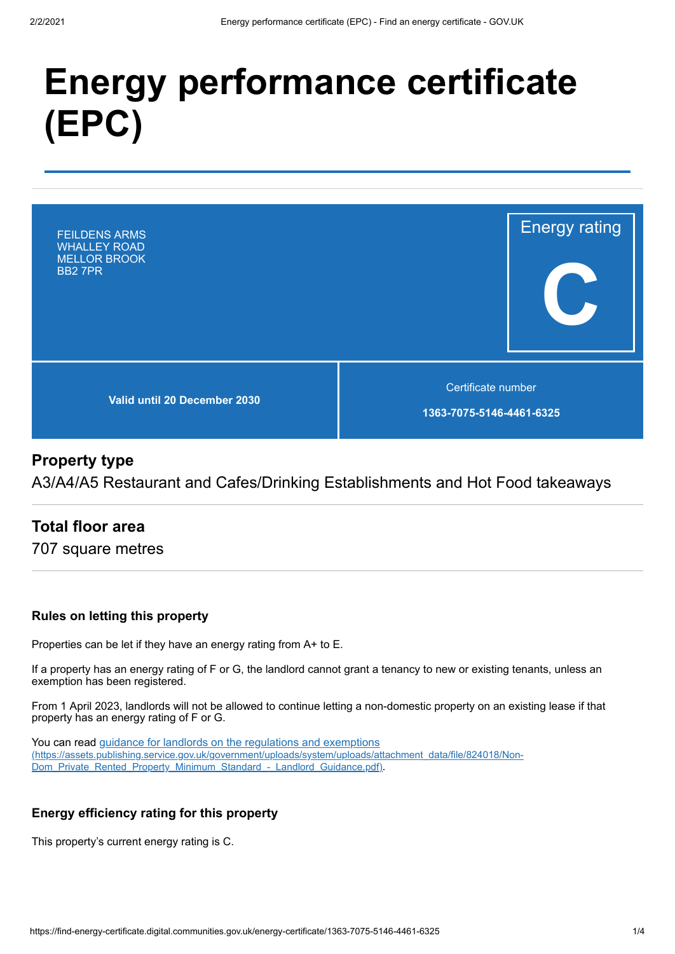# **Energy performance certificate (EPC)**



## **Property type**

A3/A4/A5 Restaurant and Cafes/Drinking Establishments and Hot Food takeaways

## **Total floor area**

707 square metres

#### **Rules on letting this property**

Properties can be let if they have an energy rating from A+ to E.

If a property has an energy rating of F or G, the landlord cannot grant a tenancy to new or existing tenants, unless an exemption has been registered.

From 1 April 2023, landlords will not be allowed to continue letting a non-domestic property on an existing lease if that property has an energy rating of F or G.

You can read guidance for landlords on the regulations and exemptions [\(https://assets.publishing.service.gov.uk/government/uploads/system/uploads/attachment\\_data/file/824018/Non-](https://assets.publishing.service.gov.uk/government/uploads/system/uploads/attachment_data/file/824018/Non-Dom_Private_Rented_Property_Minimum_Standard_-_Landlord_Guidance.pdf)Dom\_Private\_Rented\_Property\_Minimum\_Standard\_-\_Landlord\_Guidance.pdf).

#### **Energy efficiency rating for this property**

This property's current energy rating is C.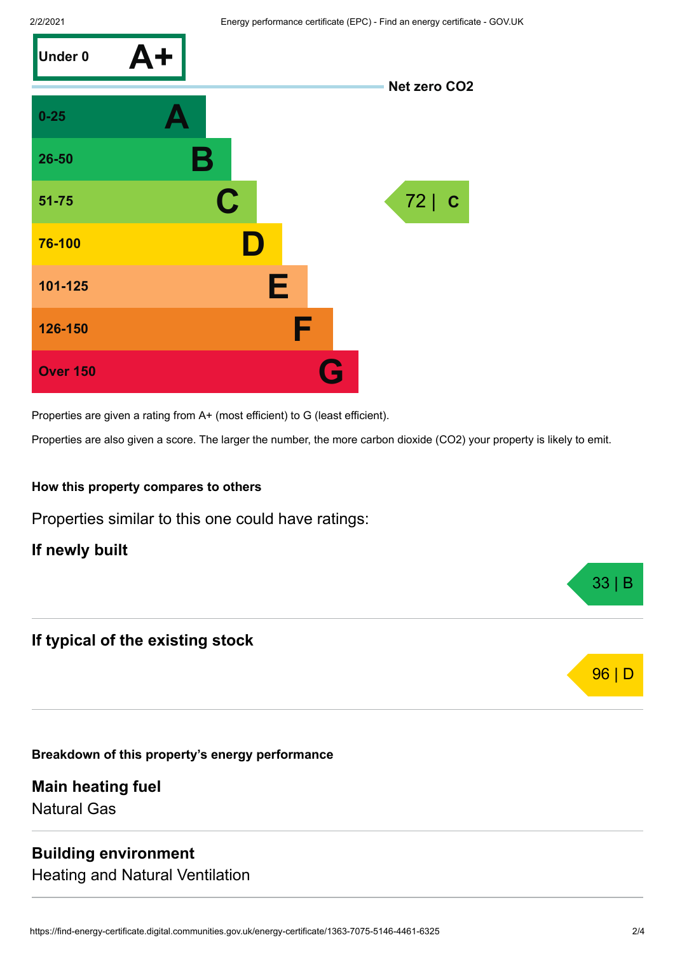

Properties are given a rating from A+ (most efficient) to G (least efficient).

Properties are also given a score. The larger the number, the more carbon dioxide (CO2) your property is likely to emit.

#### **How this property compares to others**

Properties similar to this one could have ratings:

#### **If newly built**

### **If typical of the existing stock**

**Breakdown of this property's energy performance**

**Main heating fuel** Natural Gas

#### **Building environment**

Heating and Natural Ventilation



33 | B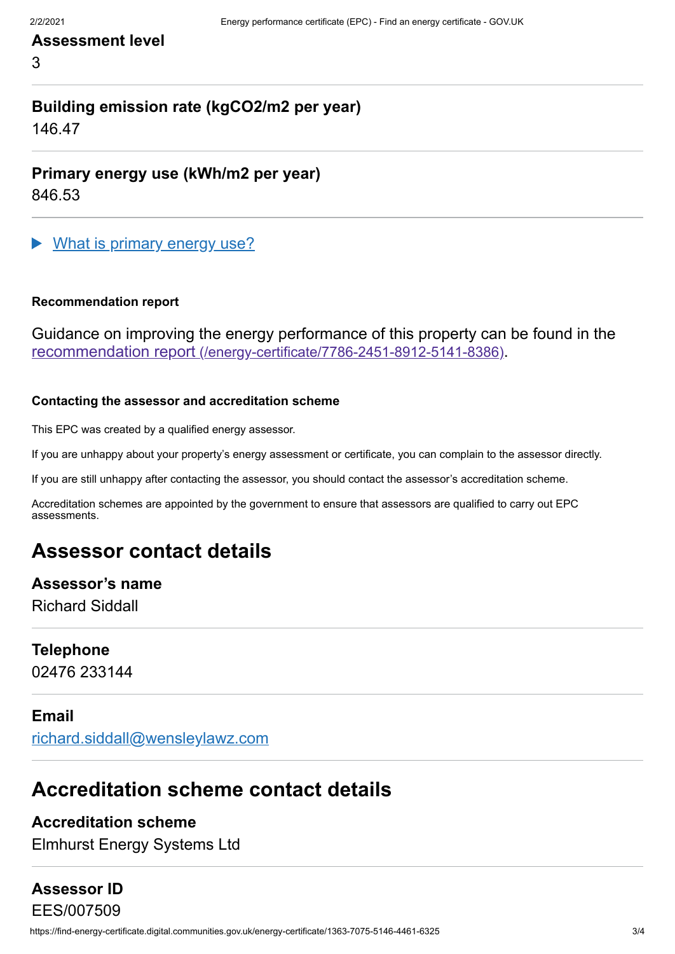## **Assessment level**

3

# **Building emission rate (kgCO2/m2 per year)**

146.47

**Primary energy use (kWh/m2 per year)**

846.53

What is primary energy use?

#### **Recommendation report**

Guidance on improving the energy performance of this property can be found in the recommendation report [\(/energy-certificate/7786-2451-8912-5141-8386\)](https://find-energy-certificate.digital.communities.gov.uk/energy-certificate/7786-2451-8912-5141-8386).

#### **Contacting the assessor and accreditation scheme**

This EPC was created by a qualified energy assessor.

If you are unhappy about your property's energy assessment or certificate, you can complain to the assessor directly.

If you are still unhappy after contacting the assessor, you should contact the assessor's accreditation scheme.

Accreditation schemes are appointed by the government to ensure that assessors are qualified to carry out EPC assessments.

# **Assessor contact details**

# **Assessor's name**

Richard Siddall

#### **Telephone**

02476 233144

#### **Email**

[richard.siddall@wensleylawz.com](mailto:richard.siddall@wensleylawz.com)

# **Accreditation scheme contact details**

#### **Accreditation scheme**

Elmhurst Energy Systems Ltd

### **Assessor ID**

https://find-energy-certificate.digital.communities.gov.uk/energy-certificate/1363-7075-5146-4461-6325 3/4 EES/007509